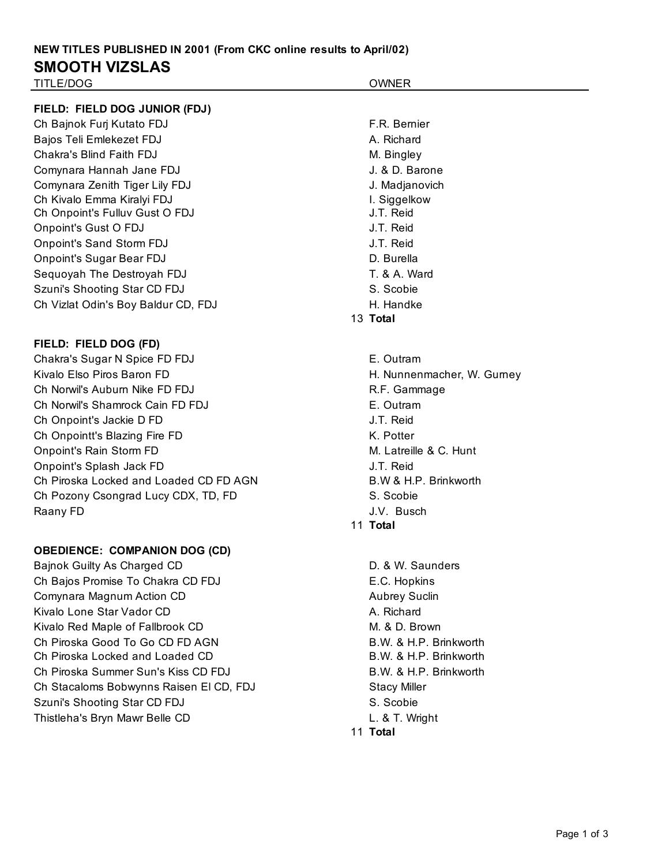# **NEW TITLES PUBLISHED IN 2001 (From CKC online results to April/02) SMOOTH VIZSLAS**

Onpoint's Splash Jack FD J.T. Reid

Ch Pozony Csongrad Lucy CDX, TD, FD S. Scobie Raany FD J.V. Busch

**OBEDIENCE: COMPANION DOG (CD)**

Ch Piroska Locked and Loaded CD FD AGN B.W & H.P. Brinkworth

Bajnok Guilty As Charged CD **D.** Assessment Controllering D. & W. Saunders Ch Bajos Promise To Chakra CD FDJ E.C. Hopkins Comynara Magnum Action CD Aubrey Suclin Kivalo Lone Star Vador CD A. Richard Kivalo Red Maple of Fallbrook CD M. & D. Brown

Ch Piroska Good To Go CD FD AGN B.W. & H.P. Brinkworth Ch Piroska Locked and Loaded CD B.W. & H.P. Brinkworth Ch Piroska Summer Sun's Kiss CD FDJ B.W. & H.P. Brinkworth

Ch Stacaloms Bobwynns Raisen El CD, FDJ Stacy Miller Szuni's Shooting Star CD FDJ S. Scobie Thistleha's Bryn Mawr Belle CD L. & T. Wright

11 **Total**

11 **Total**

| TITLE/DOG                           | <b>OWNER</b>               |
|-------------------------------------|----------------------------|
| FIELD: FIELD DOG JUNIOR (FDJ)       |                            |
| Ch Bajnok Furj Kutato FDJ           | F.R. Bemier                |
| Bajos Teli Emlekezet FDJ            | A. Richard                 |
| Chakra's Blind Faith FDJ            | M. Bingley                 |
| Comynara Hannah Jane FDJ            | J. & D. Barone             |
| Comynara Zenith Tiger Lily FDJ      | J. Madjanovich             |
| Ch Kivalo Emma Kiralyi FDJ          | I. Siggelkow               |
| Ch Onpoint's Fulluv Gust O FDJ      | J.T. Reid                  |
| Onpoint's Gust O FDJ                | J.T. Reid                  |
| Onpoint's Sand Storm FDJ            | J.T. Reid                  |
| <b>Onpoint's Sugar Bear FDJ</b>     | D. Burella                 |
| Sequoyah The Destroyah FDJ          | T. & A. Ward               |
| Szuni's Shooting Star CD FDJ        | S. Scobie                  |
| Ch Vizlat Odin's Boy Baldur CD, FDJ | H. Handke                  |
|                                     | 13 Total                   |
| FIELD: FIELD DOG (FD)               |                            |
| Chakra's Sugar N Spice FD FDJ       | E. Outram                  |
| Kivalo Elso Piros Baron FD          | H. Nunnenmacher, W. Gurney |
| Ch Norwil's Auburn Nike FD FDJ      | R.F. Gammage               |
| Ch Norwil's Shamrock Cain FD FDJ    | E. Outram                  |
| Ch Onpoint's Jackie D FD            | J.T. Reid                  |
| Ch Onpointt's Blazing Fire FD       | K. Potter                  |
| <b>Onpoint's Rain Storm FD</b>      | M. Latreille & C. Hunt     |

Page 1 of 3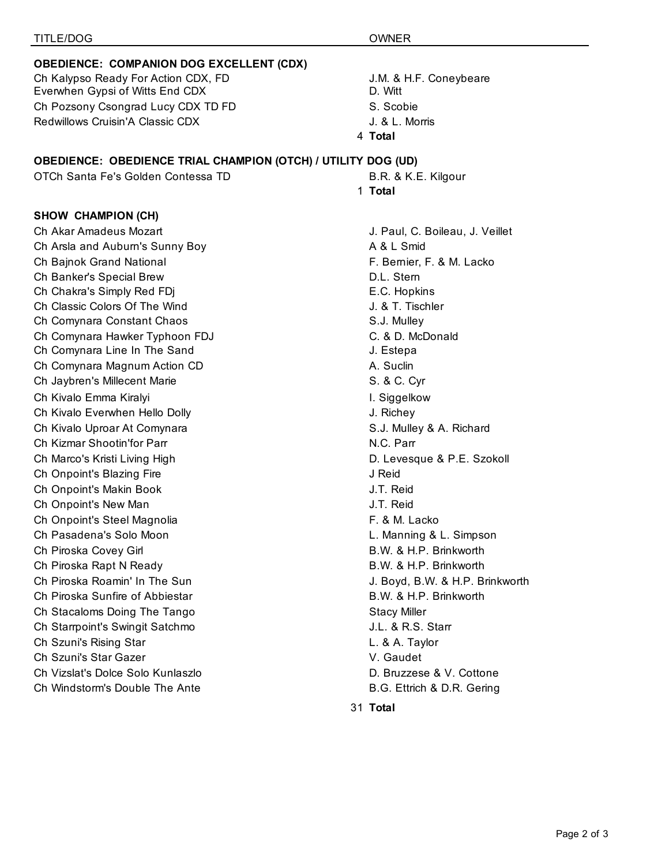### **OBEDIENCE: COMPANION DOG EXCELLENT (CDX)**

Ch Kalypso Ready For Action CDX, FD **J.M. & H.F. Coneybeare** Everwhen Gypsi of Witts End CDX D. Witt Ch Pozsony Csongrad Lucy CDX TD FD S. Scobie Redwillows Cruisin'A Classic CDX **Shows** J. & L. Morris

#### **OBEDIENCE: OBEDIENCE TRIAL CHAMPION (OTCH) / UTILITY DOG (UD)**

OTCh Santa Fe's Golden Contessa TD B.R. & K.E. Kilgour

### **SHOW CHAMPION (CH)**

Ch Akar Amadeus Mozart J. Paul, C. Boileau, J. Veillet Ch Arsla and Auburn's Sunny Boy **A** & L Smid Ch Bajnok Grand National **F. Bernier, F. & M. Lacko** F. Bernier, F. & M. Lacko Ch Banker's Special Brew D.L. Stern Ch Chakra's Simply Red FDi **E.C. Hopkins** Ch Classic Colors Of The Wind J. & T. Tischler Ch Comynara Constant Chaos S.J. Mulley Ch Comynara Hawker Typhoon FDJ C. & D. McDonald Ch Comynara Line In The Sand Gramman China Sand J. Estepa Ch Comynara Magnum Action CD A. Suclin Ch Jaybren's Millecent Marie S. & C. Cyr Ch Kivalo Emma Kiralyi **I. Siggelkow** I. Siggelkow Ch Kivalo Everwhen Hello Dolly J. Richey Ch Kivalo Uproar At Comynara S.J. Mulley & A. Richard Ch Kizmar Shootin'for Parr N.C. Parr N.C. Parr N.C. Parr Ch Marco's Kristi Living High D. Levesque & P.E. Szokoll Ch Onpoint's Blazing Fire **Good Channels** and Ch Onpoint's Blazing Fire Ch Onpoint's Makin Book J.T. Reid Ch Onpoint's New Man J.T. Reid Ch Onpoint's Steel Magnolia F. & M. Lacko Ch Pasadena's Solo Moon **L. Manning & L. Simpson** Ch Piroska Covey Girl B.W. & H.P. Brinkworth Ch Piroska Rapt N Ready **B.W. & H.P. Brinkworth** Ch Piroska Roamin' In The Sun J. Boyd, B.W. & H.P. Brinkworth Ch Piroska Sunfire of Abbiestar B.W. & H.P. Brinkworth Ch Stacaloms Doing The Tango Stacy Miller Ch Starrpoint's Swingit Satchmo **Guart Channels** J.L. & R.S. Starr Ch Szuni's Rising Star L. & A. Taylor Ch Szuni's Star Gazer V. Gaudet Ch Vizslat's Dolce Solo Kunlaszlo D. Bruzzese & V. Cottone Ch Windstorm's Double The Ante **B.G. Ettrich & D.R. Gering** 

## 4 **Total**

- 
- 1 **Total**

31 **Total**